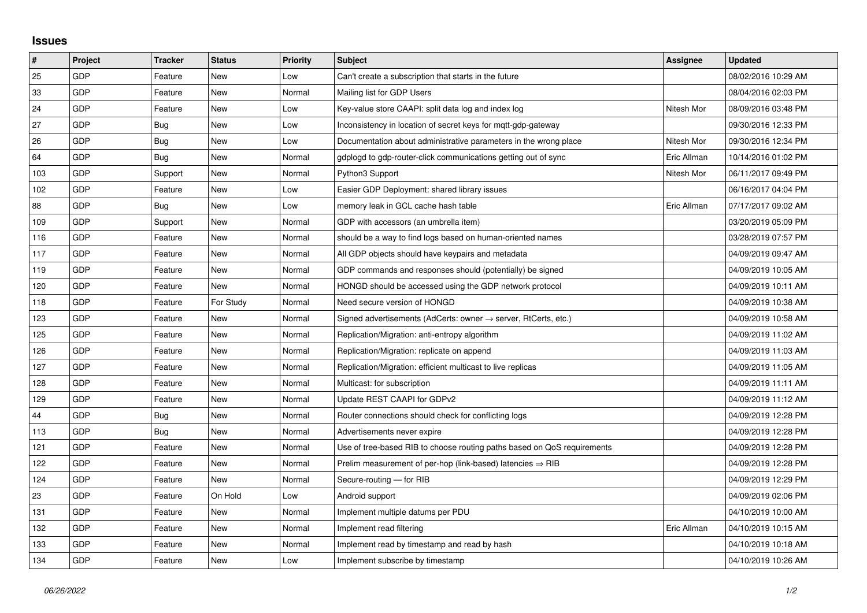## **Issues**

| #   | Project    | <b>Tracker</b> | <b>Status</b> | <b>Priority</b> | <b>Subject</b>                                                             | Assignee    | <b>Updated</b>      |
|-----|------------|----------------|---------------|-----------------|----------------------------------------------------------------------------|-------------|---------------------|
| 25  | GDP        | Feature        | <b>New</b>    | Low             | Can't create a subscription that starts in the future                      |             | 08/02/2016 10:29 AM |
| 33  | GDP        | Feature        | New           | Normal          | Mailing list for GDP Users                                                 |             | 08/04/2016 02:03 PM |
| 24  | GDP        | Feature        | <b>New</b>    | Low             | Key-value store CAAPI: split data log and index log                        | Nitesh Mor  | 08/09/2016 03:48 PM |
| 27  | GDP        | Bug            | <b>New</b>    | Low             | Inconsistency in location of secret keys for mgtt-gdp-gateway              |             | 09/30/2016 12:33 PM |
| 26  | GDP        | <b>Bug</b>     | <b>New</b>    | Low             | Documentation about administrative parameters in the wrong place           | Nitesh Mor  | 09/30/2016 12:34 PM |
| 64  | GDP        | <b>Bug</b>     | New           | Normal          | gdplogd to gdp-router-click communications getting out of sync             | Eric Allman | 10/14/2016 01:02 PM |
| 103 | GDP        | Support        | <b>New</b>    | Normal          | Python3 Support                                                            | Nitesh Mor  | 06/11/2017 09:49 PM |
| 102 | GDP        | Feature        | <b>New</b>    | Low             | Easier GDP Deployment: shared library issues                               |             | 06/16/2017 04:04 PM |
| 88  | GDP        | Bug            | New           | Low             | memory leak in GCL cache hash table                                        | Eric Allman | 07/17/2017 09:02 AM |
| 109 | GDP        | Support        | <b>New</b>    | Normal          | GDP with accessors (an umbrella item)                                      |             | 03/20/2019 05:09 PM |
| 116 | GDP        | Feature        | <b>New</b>    | Normal          | should be a way to find logs based on human-oriented names                 |             | 03/28/2019 07:57 PM |
| 117 | GDP        | Feature        | New           | Normal          | All GDP objects should have keypairs and metadata                          |             | 04/09/2019 09:47 AM |
| 119 | GDP        | Feature        | <b>New</b>    | Normal          | GDP commands and responses should (potentially) be signed                  |             | 04/09/2019 10:05 AM |
| 120 | GDP        | Feature        | <b>New</b>    | Normal          | HONGD should be accessed using the GDP network protocol                    |             | 04/09/2019 10:11 AM |
| 118 | GDP        | Feature        | For Study     | Normal          | Need secure version of HONGD                                               |             | 04/09/2019 10:38 AM |
| 123 | GDP        | Feature        | New           | Normal          | Signed advertisements (AdCerts: owner $\rightarrow$ server, RtCerts, etc.) |             | 04/09/2019 10:58 AM |
| 125 | GDP        | Feature        | <b>New</b>    | Normal          | Replication/Migration: anti-entropy algorithm                              |             | 04/09/2019 11:02 AM |
| 126 | <b>GDP</b> | Feature        | New           | Normal          | Replication/Migration: replicate on append                                 |             | 04/09/2019 11:03 AM |
| 127 | GDP        | Feature        | <b>New</b>    | Normal          | Replication/Migration: efficient multicast to live replicas                |             | 04/09/2019 11:05 AM |
| 128 | GDP        | Feature        | New           | Normal          | Multicast: for subscription                                                |             | 04/09/2019 11:11 AM |
| 129 | GDP        | Feature        | New           | Normal          | Update REST CAAPI for GDPv2                                                |             | 04/09/2019 11:12 AM |
| 44  | GDP        | Bug            | <b>New</b>    | Normal          | Router connections should check for conflicting logs                       |             | 04/09/2019 12:28 PM |
| 113 | GDP        | <b>Bug</b>     | <b>New</b>    | Normal          | Advertisements never expire                                                |             | 04/09/2019 12:28 PM |
| 121 | GDP        | Feature        | New           | Normal          | Use of tree-based RIB to choose routing paths based on QoS requirements    |             | 04/09/2019 12:28 PM |
| 122 | <b>GDP</b> | Feature        | New           | Normal          | Prelim measurement of per-hop (link-based) latencies $\Rightarrow$ RIB     |             | 04/09/2019 12:28 PM |
| 124 | GDP        | Feature        | <b>New</b>    | Normal          | Secure-routing - for RIB                                                   |             | 04/09/2019 12:29 PM |
| 23  | GDP        | Feature        | On Hold       | Low             | Android support                                                            |             | 04/09/2019 02:06 PM |
| 131 | GDP        | Feature        | <b>New</b>    | Normal          | Implement multiple datums per PDU                                          |             | 04/10/2019 10:00 AM |
| 132 | GDP        | Feature        | <b>New</b>    | Normal          | Implement read filtering                                                   | Eric Allman | 04/10/2019 10:15 AM |
| 133 | GDP        | Feature        | New           | Normal          | Implement read by timestamp and read by hash                               |             | 04/10/2019 10:18 AM |
| 134 | GDP        | Feature        | <b>New</b>    | Low             | Implement subscribe by timestamp                                           |             | 04/10/2019 10:26 AM |